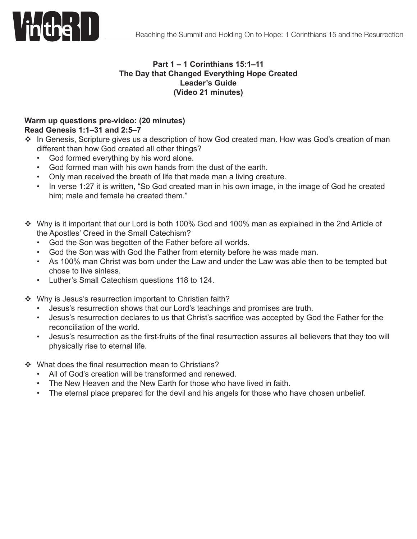

### **Part 1 – 1 Corinthians 15:1–11 The Day that Changed Everything Hope Created Leader's Guide (Video 21 minutes)**

### **Warm up questions pre-video: (20 minutes) Read Genesis 1:1–31 and 2:5–7**

- \* In Genesis, Scripture gives us a description of how God created man. How was God's creation of man different than how God created all other things?
	- God formed everything by his word alone.
	- God formed man with his own hands from the dust of the earth.
	- Only man received the breath of life that made man a living creature.
	- In verse 1:27 it is written, "So God created man in his own image, in the image of God he created him; male and female he created them."
- Why is it important that our Lord is both 100% God and 100% man as explained in the 2nd Article of the Apostles' Creed in the Small Catechism?
	- • God the Son was begotten of the Father before all worlds.
	- • God the Son was with God the Father from eternity before he was made man.
	- As 100% man Christ was born under the Law and under the Law was able then to be tempted but chose to live sinless.
	- • Luther's Small Catechism questions 118 to 124.
- $\cdot$  Why is Jesus's resurrection important to Christian faith?
	- Jesus's resurrection shows that our Lord's teachings and promises are truth.
	- • Jesus's resurrection declares to us that Christ's sacrifice was accepted by God the Father for the reconciliation of the world.
	- Jesus's resurrection as the first-fruits of the final resurrection assures all believers that they too will physically rise to eternal life.
- ❖ What does the final resurrection mean to Christians?
	- All of God's creation will be transformed and renewed.
	- The New Heaven and the New Earth for those who have lived in faith.
	- The eternal place prepared for the devil and his angels for those who have chosen unbelief.